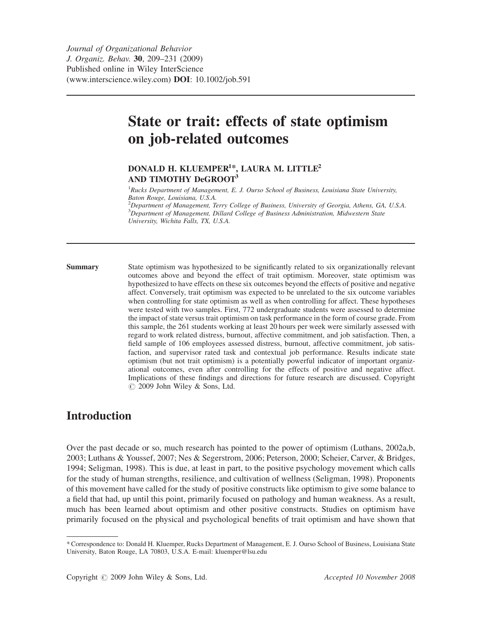# State or trait: effects of state optimism on job-related outcomes

### DONALD H. KLUEMPER<sup>1\*</sup>, LAURA M. LITTLE<sup>2</sup> AND TIMOTHY DeGROOT<sup>3</sup>

<sup>1</sup>Rucks Department of Management, E. J. Ourso School of Business, Louisiana State University, Baton Rouge, Louisiana, U.S.A. <sup>2</sup>Department of Management, Terry College of Business, University of Georgia, Athens, GA, U.S.A.

<sup>3</sup>Department of Management, Dillard College of Business Administration, Midwestern State University, Wichita Falls, TX, U.S.A.

Summary State optimism was hypothesized to be significantly related to six organizationally relevant outcomes above and beyond the effect of trait optimism. Moreover, state optimism was hypothesized to have effects on these six outcomes beyond the effects of positive and negative affect. Conversely, trait optimism was expected to be unrelated to the six outcome variables when controlling for state optimism as well as when controlling for affect. These hypotheses were tested with two samples. First, 772 undergraduate students were assessed to determine the impact of state versus trait optimism on task performance in the form of course grade. From this sample, the 261 students working at least 20 hours per week were similarly assessed with regard to work related distress, burnout, affective commitment, and job satisfaction. Then, a field sample of 106 employees assessed distress, burnout, affective commitment, job satisfaction, and supervisor rated task and contextual job performance. Results indicate state optimism (but not trait optimism) is a potentially powerful indicator of important organizational outcomes, even after controlling for the effects of positive and negative affect. Implications of these findings and directions for future research are discussed. Copyright  $\odot$  2009 John Wiley & Sons, Ltd.

## Introduction

Over the past decade or so, much research has pointed to the power of optimism (Luthans, 2002a,b, 2003; Luthans & Youssef, 2007; Nes & Segerstrom, 2006; Peterson, 2000; Scheier, Carver, & Bridges, 1994; Seligman, 1998). This is due, at least in part, to the positive psychology movement which calls for the study of human strengths, resilience, and cultivation of wellness (Seligman, 1998). Proponents of this movement have called for the study of positive constructs like optimism to give some balance to a field that had, up until this point, primarily focused on pathology and human weakness. As a result, much has been learned about optimism and other positive constructs. Studies on optimism have primarily focused on the physical and psychological benefits of trait optimism and have shown that

<sup>\*</sup> Correspondence to: Donald H. Kluemper, Rucks Department of Management, E. J. Ourso School of Business, Louisiana State University, Baton Rouge, LA 70803, U.S.A. E-mail: kluemper@lsu.edu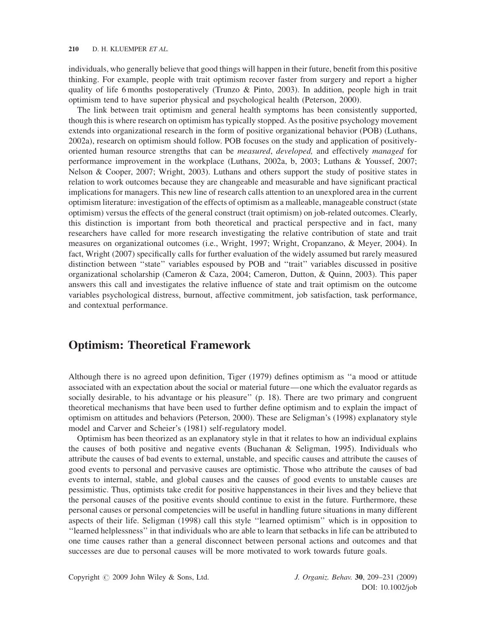individuals, who generally believe that good things will happen in their future, benefit from this positive thinking. For example, people with trait optimism recover faster from surgery and report a higher quality of life 6 months postoperatively (Trunzo & Pinto, 2003). In addition, people high in trait optimism tend to have superior physical and psychological health (Peterson, 2000).

The link between trait optimism and general health symptoms has been consistently supported, though this is where research on optimism has typically stopped. As the positive psychology movement extends into organizational research in the form of positive organizational behavior (POB) (Luthans, 2002a), research on optimism should follow. POB focuses on the study and application of positivelyoriented human resource strengths that can be measured, developed, and effectively managed for performance improvement in the workplace (Luthans, 2002a, b, 2003; Luthans & Youssef, 2007; Nelson & Cooper, 2007; Wright, 2003). Luthans and others support the study of positive states in relation to work outcomes because they are changeable and measurable and have significant practical implications for managers. This new line of research calls attention to an unexplored area in the current optimism literature: investigation of the effects of optimism as a malleable, manageable construct (state optimism) versus the effects of the general construct (trait optimism) on job-related outcomes. Clearly, this distinction is important from both theoretical and practical perspective and in fact, many researchers have called for more research investigating the relative contribution of state and trait measures on organizational outcomes (i.e., Wright, 1997; Wright, Cropanzano, & Meyer, 2004). In fact, Wright (2007) specifically calls for further evaluation of the widely assumed but rarely measured distinction between ''state'' variables espoused by POB and ''trait'' variables discussed in positive organizational scholarship (Cameron & Caza, 2004; Cameron, Dutton, & Quinn, 2003). This paper answers this call and investigates the relative influence of state and trait optimism on the outcome variables psychological distress, burnout, affective commitment, job satisfaction, task performance, and contextual performance.

## Optimism: Theoretical Framework

Although there is no agreed upon definition, Tiger (1979) defines optimism as ''a mood or attitude associated with an expectation about the social or material future—one which the evaluator regards as socially desirable, to his advantage or his pleasure'' (p. 18). There are two primary and congruent theoretical mechanisms that have been used to further define optimism and to explain the impact of optimism on attitudes and behaviors (Peterson, 2000). These are Seligman's (1998) explanatory style model and Carver and Scheier's (1981) self-regulatory model.

Optimism has been theorized as an explanatory style in that it relates to how an individual explains the causes of both positive and negative events (Buchanan & Seligman, 1995). Individuals who attribute the causes of bad events to external, unstable, and specific causes and attribute the causes of good events to personal and pervasive causes are optimistic. Those who attribute the causes of bad events to internal, stable, and global causes and the causes of good events to unstable causes are pessimistic. Thus, optimists take credit for positive happenstances in their lives and they believe that the personal causes of the positive events should continue to exist in the future. Furthermore, these personal causes or personal competencies will be useful in handling future situations in many different aspects of their life. Seligman (1998) call this style ''learned optimism'' which is in opposition to ''learned helplessness'' in that individuals who are able to learn that setbacks in life can be attributed to one time causes rather than a general disconnect between personal actions and outcomes and that successes are due to personal causes will be more motivated to work towards future goals.

Copyright  $\odot$  2009 John Wiley & Sons, Ltd. J. Organiz. Behav. 30, 209–231 (2009)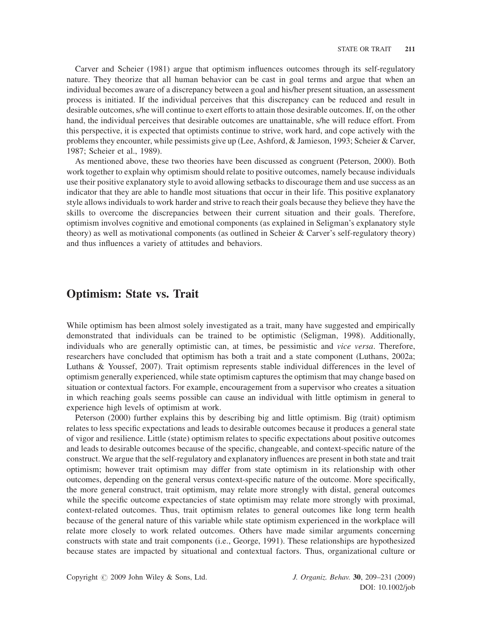Carver and Scheier (1981) argue that optimism influences outcomes through its self-regulatory nature. They theorize that all human behavior can be cast in goal terms and argue that when an individual becomes aware of a discrepancy between a goal and his/her present situation, an assessment process is initiated. If the individual perceives that this discrepancy can be reduced and result in desirable outcomes, s/he will continue to exert efforts to attain those desirable outcomes. If, on the other hand, the individual perceives that desirable outcomes are unattainable, s/he will reduce effort. From this perspective, it is expected that optimists continue to strive, work hard, and cope actively with the problems they encounter, while pessimists give up (Lee, Ashford, & Jamieson, 1993; Scheier & Carver, 1987; Scheier et al., 1989).

As mentioned above, these two theories have been discussed as congruent (Peterson, 2000). Both work together to explain why optimism should relate to positive outcomes, namely because individuals use their positive explanatory style to avoid allowing setbacks to discourage them and use success as an indicator that they are able to handle most situations that occur in their life. This positive explanatory style allows individuals to work harder and strive to reach their goals because they believe they have the skills to overcome the discrepancies between their current situation and their goals. Therefore, optimism involves cognitive and emotional components (as explained in Seligman's explanatory style theory) as well as motivational components (as outlined in Scheier & Carver's self-regulatory theory) and thus influences a variety of attitudes and behaviors.

## Optimism: State vs. Trait

While optimism has been almost solely investigated as a trait, many have suggested and empirically demonstrated that individuals can be trained to be optimistic (Seligman, 1998). Additionally, individuals who are generally optimistic can, at times, be pessimistic and vice versa. Therefore, researchers have concluded that optimism has both a trait and a state component (Luthans, 2002a; Luthans & Youssef, 2007). Trait optimism represents stable individual differences in the level of optimism generally experienced, while state optimism captures the optimism that may change based on situation or contextual factors. For example, encouragement from a supervisor who creates a situation in which reaching goals seems possible can cause an individual with little optimism in general to experience high levels of optimism at work.

Peterson (2000) further explains this by describing big and little optimism. Big (trait) optimism relates to less specific expectations and leads to desirable outcomes because it produces a general state of vigor and resilience. Little (state) optimism relates to specific expectations about positive outcomes and leads to desirable outcomes because of the specific, changeable, and context-specific nature of the construct. We argue that the self-regulatory and explanatory influences are present in both state and trait optimism; however trait optimism may differ from state optimism in its relationship with other outcomes, depending on the general versus context-specific nature of the outcome. More specifically, the more general construct, trait optimism, may relate more strongly with distal, general outcomes while the specific outcome expectancies of state optimism may relate more strongly with proximal, context-related outcomes. Thus, trait optimism relates to general outcomes like long term health because of the general nature of this variable while state optimism experienced in the workplace will relate more closely to work related outcomes. Others have made similar arguments concerning constructs with state and trait components (i.e., George, 1991). These relationships are hypothesized because states are impacted by situational and contextual factors. Thus, organizational culture or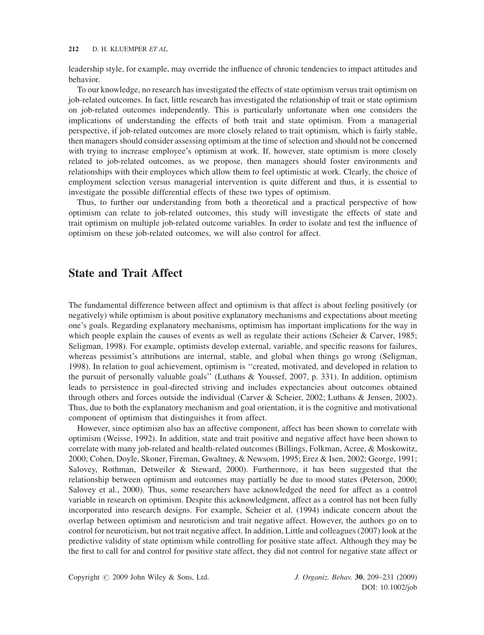leadership style, for example, may override the influence of chronic tendencies to impact attitudes and behavior.

To our knowledge, no research has investigated the effects of state optimism versus trait optimism on job-related outcomes. In fact, little research has investigated the relationship of trait or state optimism on job-related outcomes independently. This is particularly unfortunate when one considers the implications of understanding the effects of both trait and state optimism. From a managerial perspective, if job-related outcomes are more closely related to trait optimism, which is fairly stable, then managers should consider assessing optimism at the time of selection and should not be concerned with trying to increase employee's optimism at work. If, however, state optimism is more closely related to job-related outcomes, as we propose, then managers should foster environments and relationships with their employees which allow them to feel optimistic at work. Clearly, the choice of employment selection versus managerial intervention is quite different and thus, it is essential to investigate the possible differential effects of these two types of optimism.

Thus, to further our understanding from both a theoretical and a practical perspective of how optimism can relate to job-related outcomes, this study will investigate the effects of state and trait optimism on multiple job-related outcome variables. In order to isolate and test the influence of optimism on these job-related outcomes, we will also control for affect.

## State and Trait Affect

The fundamental difference between affect and optimism is that affect is about feeling positively (or negatively) while optimism is about positive explanatory mechanisms and expectations about meeting one's goals. Regarding explanatory mechanisms, optimism has important implications for the way in which people explain the causes of events as well as regulate their actions (Scheier & Carver, 1985; Seligman, 1998). For example, optimists develop external, variable, and specific reasons for failures, whereas pessimist's attributions are internal, stable, and global when things go wrong (Seligman, 1998). In relation to goal achievement, optimism is ''created, motivated, and developed in relation to the pursuit of personally valuable goals'' (Luthans & Youssef, 2007, p. 331). In addition, optimism leads to persistence in goal-directed striving and includes expectancies about outcomes obtained through others and forces outside the individual (Carver & Scheier, 2002; Luthans & Jensen, 2002). Thus, due to both the explanatory mechanism and goal orientation, it is the cognitive and motivational component of optimism that distinguishes it from affect.

However, since optimism also has an affective component, affect has been shown to correlate with optimism (Weisse, 1992). In addition, state and trait positive and negative affect have been shown to correlate with many job-related and health-related outcomes (Billings, Folkman, Acree, & Moskowitz, 2000; Cohen, Doyle, Skoner, Fireman, Gwaltney, & Newsom, 1995; Erez & Isen, 2002; George, 1991; Salovey, Rothman, Detweiler & Steward, 2000). Furthermore, it has been suggested that the relationship between optimism and outcomes may partially be due to mood states (Peterson, 2000; Salovey et al., 2000). Thus, some researchers have acknowledged the need for affect as a control variable in research on optimism. Despite this acknowledgment, affect as a control has not been fully incorporated into research designs. For example, Scheier et al. (1994) indicate concern about the overlap between optimism and neuroticism and trait negative affect. However, the authors go on to control for neuroticism, but not trait negative affect. In addition, Little and colleagues (2007) look at the predictive validity of state optimism while controlling for positive state affect. Although they may be the first to call for and control for positive state affect, they did not control for negative state affect or

Copyright  $\odot$  2009 John Wiley & Sons, Ltd. J. Organiz. Behav. 30, 209–231 (2009)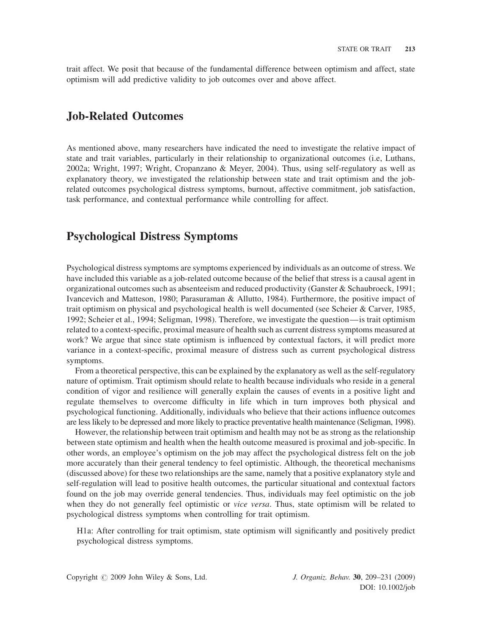trait affect. We posit that because of the fundamental difference between optimism and affect, state optimism will add predictive validity to job outcomes over and above affect.

## Job-Related Outcomes

As mentioned above, many researchers have indicated the need to investigate the relative impact of state and trait variables, particularly in their relationship to organizational outcomes (i.e, Luthans, 2002a; Wright, 1997; Wright, Cropanzano & Meyer, 2004). Thus, using self-regulatory as well as explanatory theory, we investigated the relationship between state and trait optimism and the jobrelated outcomes psychological distress symptoms, burnout, affective commitment, job satisfaction, task performance, and contextual performance while controlling for affect.

### Psychological Distress Symptoms

Psychological distress symptoms are symptoms experienced by individuals as an outcome of stress. We have included this variable as a job-related outcome because of the belief that stress is a causal agent in organizational outcomes such as absenteeism and reduced productivity (Ganster & Schaubroeck, 1991; Ivancevich and Matteson, 1980; Parasuraman & Allutto, 1984). Furthermore, the positive impact of trait optimism on physical and psychological health is well documented (see Scheier & Carver, 1985, 1992; Scheier et al., 1994; Seligman, 1998). Therefore, we investigate the question—is trait optimism related to a context-specific, proximal measure of health such as current distress symptoms measured at work? We argue that since state optimism is influenced by contextual factors, it will predict more variance in a context-specific, proximal measure of distress such as current psychological distress symptoms.

From a theoretical perspective, this can be explained by the explanatory as well as the self-regulatory nature of optimism. Trait optimism should relate to health because individuals who reside in a general condition of vigor and resilience will generally explain the causes of events in a positive light and regulate themselves to overcome difficulty in life which in turn improves both physical and psychological functioning. Additionally, individuals who believe that their actions influence outcomes are less likely to be depressed and more likely to practice preventative health maintenance (Seligman, 1998).

However, the relationship between trait optimism and health may not be as strong as the relationship between state optimism and health when the health outcome measured is proximal and job-specific. In other words, an employee's optimism on the job may affect the psychological distress felt on the job more accurately than their general tendency to feel optimistic. Although, the theoretical mechanisms (discussed above) for these two relationships are the same, namely that a positive explanatory style and self-regulation will lead to positive health outcomes, the particular situational and contextual factors found on the job may override general tendencies. Thus, individuals may feel optimistic on the job when they do not generally feel optimistic or vice versa. Thus, state optimism will be related to psychological distress symptoms when controlling for trait optimism.

H1a: After controlling for trait optimism, state optimism will significantly and positively predict psychological distress symptoms.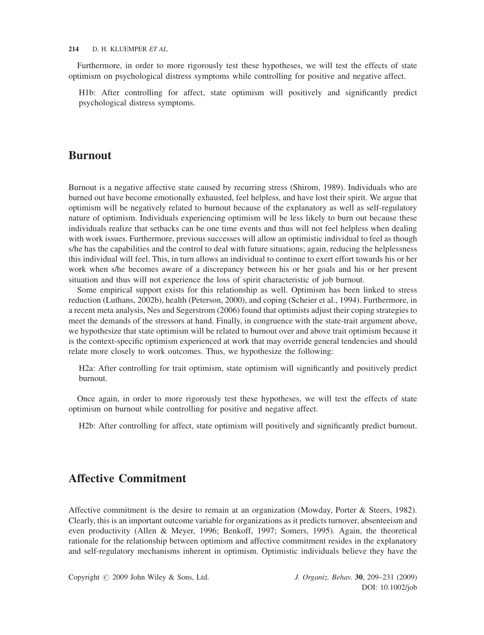Furthermore, in order to more rigorously test these hypotheses, we will test the effects of state optimism on psychological distress symptoms while controlling for positive and negative affect.

H1b: After controlling for affect, state optimism will positively and significantly predict psychological distress symptoms.

### Burnout

Burnout is a negative affective state caused by recurring stress (Shirom, 1989). Individuals who are burned out have become emotionally exhausted, feel helpless, and have lost their spirit. We argue that optimism will be negatively related to burnout because of the explanatory as well as self-regulatory nature of optimism. Individuals experiencing optimism will be less likely to burn out because these individuals realize that setbacks can be one time events and thus will not feel helpless when dealing with work issues. Furthermore, previous successes will allow an optimistic individual to feel as though s/he has the capabilities and the control to deal with future situations; again, reducing the helplessness this individual will feel. This, in turn allows an individual to continue to exert effort towards his or her work when s/he becomes aware of a discrepancy between his or her goals and his or her present situation and thus will not experience the loss of spirit characteristic of job burnout.

Some empirical support exists for this relationship as well. Optimism has been linked to stress reduction (Luthans, 2002b), health (Peterson, 2000), and coping (Scheier et al., 1994). Furthermore, in a recent meta analysis, Nes and Segerstrom (2006) found that optimists adjust their coping strategies to meet the demands of the stressors at hand. Finally, in congruence with the state-trait argument above, we hypothesize that state optimism will be related to burnout over and above trait optimism because it is the context-specific optimism experienced at work that may override general tendencies and should relate more closely to work outcomes. Thus, we hypothesize the following:

H2a: After controlling for trait optimism, state optimism will significantly and positively predict burnout.

Once again, in order to more rigorously test these hypotheses, we will test the effects of state optimism on burnout while controlling for positive and negative affect.

H2b: After controlling for affect, state optimism will positively and significantly predict burnout.

## Affective Commitment

Affective commitment is the desire to remain at an organization (Mowday, Porter & Steers, 1982). Clearly, this is an important outcome variable for organizations as it predicts turnover, absenteeism and even productivity (Allen & Meyer, 1996; Benkoff, 1997; Somers, 1995). Again, the theoretical rationale for the relationship between optimism and affective commitment resides in the explanatory and self-regulatory mechanisms inherent in optimism. Optimistic individuals believe they have the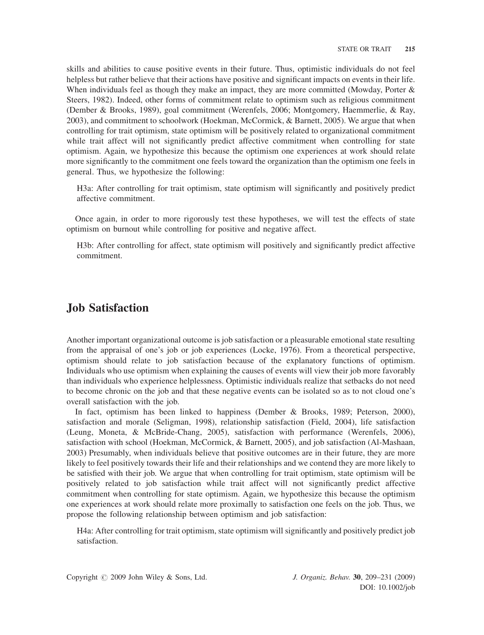skills and abilities to cause positive events in their future. Thus, optimistic individuals do not feel helpless but rather believe that their actions have positive and significant impacts on events in their life. When individuals feel as though they make an impact, they are more committed (Mowday, Porter  $\&$ Steers, 1982). Indeed, other forms of commitment relate to optimism such as religious commitment (Dember & Brooks, 1989), goal commitment (Werenfels, 2006; Montgomery, Haemmerlie, & Ray, 2003), and commitment to schoolwork (Hoekman, McCormick, & Barnett, 2005). We argue that when controlling for trait optimism, state optimism will be positively related to organizational commitment while trait affect will not significantly predict affective commitment when controlling for state optimism. Again, we hypothesize this because the optimism one experiences at work should relate more significantly to the commitment one feels toward the organization than the optimism one feels in general. Thus, we hypothesize the following:

H3a: After controlling for trait optimism, state optimism will significantly and positively predict affective commitment.

Once again, in order to more rigorously test these hypotheses, we will test the effects of state optimism on burnout while controlling for positive and negative affect.

H3b: After controlling for affect, state optimism will positively and significantly predict affective commitment.

## Job Satisfaction

Another important organizational outcome is job satisfaction or a pleasurable emotional state resulting from the appraisal of one's job or job experiences (Locke, 1976). From a theoretical perspective, optimism should relate to job satisfaction because of the explanatory functions of optimism. Individuals who use optimism when explaining the causes of events will view their job more favorably than individuals who experience helplessness. Optimistic individuals realize that setbacks do not need to become chronic on the job and that these negative events can be isolated so as to not cloud one's overall satisfaction with the job.

In fact, optimism has been linked to happiness (Dember & Brooks, 1989; Peterson, 2000), satisfaction and morale (Seligman, 1998), relationship satisfaction (Field, 2004), life satisfaction (Leung, Moneta, & McBride-Chang, 2005), satisfaction with performance (Werenfels, 2006), satisfaction with school (Hoekman, McCormick, & Barnett, 2005), and job satisfaction (Al-Mashaan, 2003) Presumably, when individuals believe that positive outcomes are in their future, they are more likely to feel positively towards their life and their relationships and we contend they are more likely to be satisfied with their job. We argue that when controlling for trait optimism, state optimism will be positively related to job satisfaction while trait affect will not significantly predict affective commitment when controlling for state optimism. Again, we hypothesize this because the optimism one experiences at work should relate more proximally to satisfaction one feels on the job. Thus, we propose the following relationship between optimism and job satisfaction:

H4a: After controlling for trait optimism, state optimism will significantly and positively predict job satisfaction.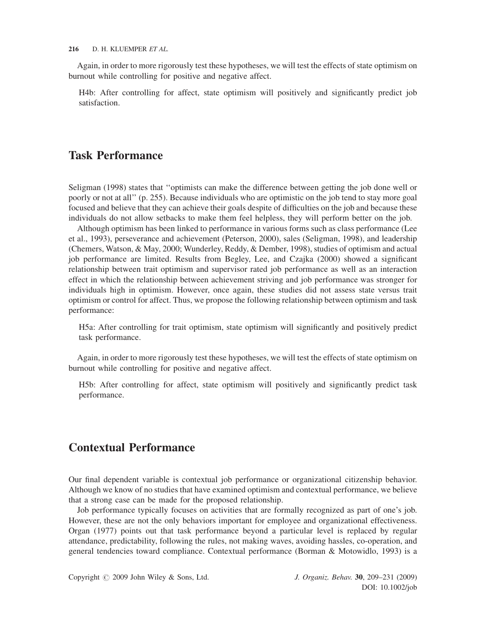Again, in order to more rigorously test these hypotheses, we will test the effects of state optimism on burnout while controlling for positive and negative affect.

H4b: After controlling for affect, state optimism will positively and significantly predict job satisfaction.

## Task Performance

Seligman (1998) states that ''optimists can make the difference between getting the job done well or poorly or not at all'' (p. 255). Because individuals who are optimistic on the job tend to stay more goal focused and believe that they can achieve their goals despite of difficulties on the job and because these individuals do not allow setbacks to make them feel helpless, they will perform better on the job.

Although optimism has been linked to performance in various forms such as class performance (Lee et al., 1993), perseverance and achievement (Peterson, 2000), sales (Seligman, 1998), and leadership (Chemers, Watson, & May, 2000; Wunderley, Reddy, & Dember, 1998), studies of optimism and actual job performance are limited. Results from Begley, Lee, and Czajka (2000) showed a significant relationship between trait optimism and supervisor rated job performance as well as an interaction effect in which the relationship between achievement striving and job performance was stronger for individuals high in optimism. However, once again, these studies did not assess state versus trait optimism or control for affect. Thus, we propose the following relationship between optimism and task performance:

H5a: After controlling for trait optimism, state optimism will significantly and positively predict task performance.

Again, in order to more rigorously test these hypotheses, we will test the effects of state optimism on burnout while controlling for positive and negative affect.

H5b: After controlling for affect, state optimism will positively and significantly predict task performance.

## Contextual Performance

Our final dependent variable is contextual job performance or organizational citizenship behavior. Although we know of no studies that have examined optimism and contextual performance, we believe that a strong case can be made for the proposed relationship.

Job performance typically focuses on activities that are formally recognized as part of one's job. However, these are not the only behaviors important for employee and organizational effectiveness. Organ (1977) points out that task performance beyond a particular level is replaced by regular attendance, predictability, following the rules, not making waves, avoiding hassles, co-operation, and general tendencies toward compliance. Contextual performance (Borman & Motowidlo, 1993) is a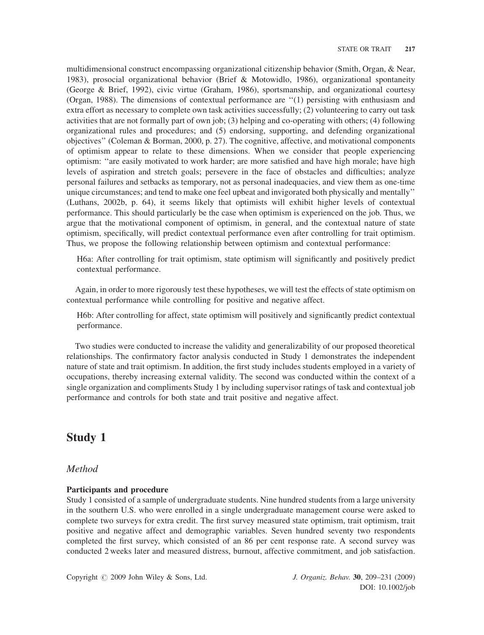multidimensional construct encompassing organizational citizenship behavior (Smith, Organ, & Near, 1983), prosocial organizational behavior (Brief & Motowidlo, 1986), organizational spontaneity (George & Brief, 1992), civic virtue (Graham, 1986), sportsmanship, and organizational courtesy (Organ, 1988). The dimensions of contextual performance are ''(1) persisting with enthusiasm and extra effort as necessary to complete own task activities successfully; (2) volunteering to carry out task activities that are not formally part of own job; (3) helping and co-operating with others; (4) following organizational rules and procedures; and (5) endorsing, supporting, and defending organizational objectives'' (Coleman & Borman, 2000, p. 27). The cognitive, affective, and motivational components of optimism appear to relate to these dimensions. When we consider that people experiencing optimism: ''are easily motivated to work harder; are more satisfied and have high morale; have high levels of aspiration and stretch goals; persevere in the face of obstacles and difficulties; analyze personal failures and setbacks as temporary, not as personal inadequacies, and view them as one-time unique circumstances; and tend to make one feel upbeat and invigorated both physically and mentally'' (Luthans, 2002b, p. 64), it seems likely that optimists will exhibit higher levels of contextual performance. This should particularly be the case when optimism is experienced on the job. Thus, we argue that the motivational component of optimism, in general, and the contextual nature of state optimism, specifically, will predict contextual performance even after controlling for trait optimism. Thus, we propose the following relationship between optimism and contextual performance:

H6a: After controlling for trait optimism, state optimism will significantly and positively predict contextual performance.

Again, in order to more rigorously test these hypotheses, we will test the effects of state optimism on contextual performance while controlling for positive and negative affect.

H6b: After controlling for affect, state optimism will positively and significantly predict contextual performance.

Two studies were conducted to increase the validity and generalizability of our proposed theoretical relationships. The confirmatory factor analysis conducted in Study 1 demonstrates the independent nature of state and trait optimism. In addition, the first study includes students employed in a variety of occupations, thereby increasing external validity. The second was conducted within the context of a single organization and compliments Study 1 by including supervisor ratings of task and contextual job performance and controls for both state and trait positive and negative affect.

## Study 1

### Method

### Participants and procedure

Study 1 consisted of a sample of undergraduate students. Nine hundred students from a large university in the southern U.S. who were enrolled in a single undergraduate management course were asked to complete two surveys for extra credit. The first survey measured state optimism, trait optimism, trait positive and negative affect and demographic variables. Seven hundred seventy two respondents completed the first survey, which consisted of an 86 per cent response rate. A second survey was conducted 2 weeks later and measured distress, burnout, affective commitment, and job satisfaction.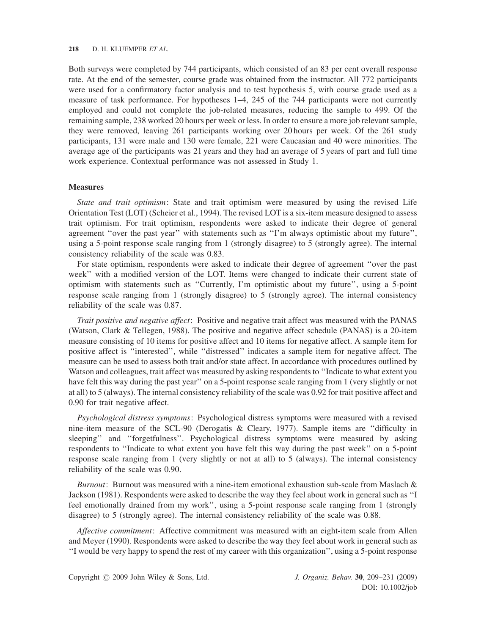Both surveys were completed by 744 participants, which consisted of an 83 per cent overall response rate. At the end of the semester, course grade was obtained from the instructor. All 772 participants were used for a confirmatory factor analysis and to test hypothesis 5, with course grade used as a measure of task performance. For hypotheses 1–4, 245 of the 744 participants were not currently employed and could not complete the job-related measures, reducing the sample to 499. Of the remaining sample, 238 worked 20 hours per week or less. In order to ensure a more job relevant sample, they were removed, leaving 261 participants working over 20 hours per week. Of the 261 study participants, 131 were male and 130 were female, 221 were Caucasian and 40 were minorities. The average age of the participants was 21 years and they had an average of 5 years of part and full time work experience. Contextual performance was not assessed in Study 1.

#### **Measures**

State and trait optimism: State and trait optimism were measured by using the revised Life Orientation Test (LOT) (Scheier et al., 1994). The revised LOT is a six-item measure designed to assess trait optimism. For trait optimism, respondents were asked to indicate their degree of general agreement "over the past year" with statements such as "I'm always optimistic about my future", using a 5-point response scale ranging from 1 (strongly disagree) to 5 (strongly agree). The internal consistency reliability of the scale was 0.83.

For state optimism, respondents were asked to indicate their degree of agreement ''over the past week'' with a modified version of the LOT. Items were changed to indicate their current state of optimism with statements such as ''Currently, I'm optimistic about my future'', using a 5-point response scale ranging from 1 (strongly disagree) to 5 (strongly agree). The internal consistency reliability of the scale was 0.87.

Trait positive and negative affect: Positive and negative trait affect was measured with the PANAS (Watson, Clark & Tellegen, 1988). The positive and negative affect schedule (PANAS) is a 20-item measure consisting of 10 items for positive affect and 10 items for negative affect. A sample item for positive affect is ''interested'', while ''distressed'' indicates a sample item for negative affect. The measure can be used to assess both trait and/or state affect. In accordance with procedures outlined by Watson and colleagues, trait affect was measured by asking respondents to ''Indicate to what extent you have felt this way during the past year'' on a 5-point response scale ranging from 1 (very slightly or not at all) to 5 (always). The internal consistency reliability of the scale was 0.92 for trait positive affect and 0.90 for trait negative affect.

Psychological distress symptoms: Psychological distress symptoms were measured with a revised nine-item measure of the SCL-90 (Derogatis & Cleary, 1977). Sample items are ''difficulty in sleeping'' and ''forgetfulness''. Psychological distress symptoms were measured by asking respondents to ''Indicate to what extent you have felt this way during the past week'' on a 5-point response scale ranging from 1 (very slightly or not at all) to 5 (always). The internal consistency reliability of the scale was 0.90.

Burnout: Burnout was measured with a nine-item emotional exhaustion sub-scale from Maslach  $\&$ Jackson (1981). Respondents were asked to describe the way they feel about work in general such as ''I feel emotionally drained from my work'', using a 5-point response scale ranging from 1 (strongly disagree) to 5 (strongly agree). The internal consistency reliability of the scale was 0.88.

Affective commitment: Affective commitment was measured with an eight-item scale from Allen and Meyer (1990). Respondents were asked to describe the way they feel about work in general such as ''I would be very happy to spend the rest of my career with this organization'', using a 5-point response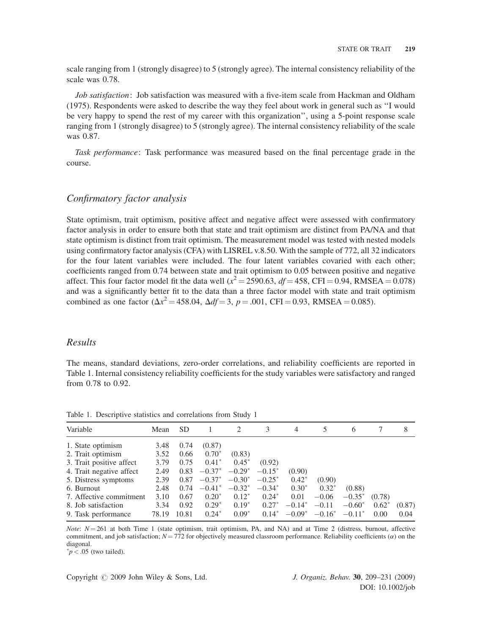scale ranging from 1 (strongly disagree) to 5 (strongly agree). The internal consistency reliability of the scale was 0.78.

*Job satisfaction*: Job satisfaction was measured with a five-item scale from Hackman and Oldham (1975). Respondents were asked to describe the way they feel about work in general such as ''I would be very happy to spend the rest of my career with this organization'', using a 5-point response scale ranging from 1 (strongly disagree) to 5 (strongly agree). The internal consistency reliability of the scale was 0.87.

Task performance: Task performance was measured based on the final percentage grade in the course.

### Confirmatory factor analysis

State optimism, trait optimism, positive affect and negative affect were assessed with confirmatory factor analysis in order to ensure both that state and trait optimism are distinct from PA/NA and that state optimism is distinct from trait optimism. The measurement model was tested with nested models using confirmatory factor analysis (CFA) with LISREL v.8.50. With the sample of 772, all 32 indicators for the four latent variables were included. The four latent variables covaried with each other; coefficients ranged from 0.74 between state and trait optimism to 0.05 between positive and negative affect. This four factor model fit the data well  $(x^2 = 2590.63, df = 458, CFI = 0.94, RMSEA = 0.078)$ and was a significantly better fit to the data than a three factor model with state and trait optimism combined as one factor ( $\Delta x^2 = 458.04$ ,  $\Delta df = 3$ ,  $p = .001$ , CFI = 0.93, RMSEA = 0.085).

### Results

The means, standard deviations, zero-order correlations, and reliability coefficients are reported in Table 1. Internal consistency reliability coefficients for the study variables were satisfactory and ranged from 0.78 to 0.92.

| Variable                 | Mean  | <b>SD</b> |           | 2         | 3         | 4         |           | 6         |         | 8      |
|--------------------------|-------|-----------|-----------|-----------|-----------|-----------|-----------|-----------|---------|--------|
| 1. State optimism        | 3.48  | 0.74      | (0.87)    |           |           |           |           |           |         |        |
| 2. Trait optimism        | 3.52  | 0.66      | $0.70*$   | (0.83)    |           |           |           |           |         |        |
| 3. Trait positive affect | 3.79  | 0.75      | $0.41*$   | $0.45*$   | (0.92)    |           |           |           |         |        |
| 4. Trait negative affect | 2.49  | 0.83      | $-0.37^*$ | $-0.29^*$ | $-0.15^*$ | (0.90)    |           |           |         |        |
| 5. Distress symptoms     | 2.39  | 0.87      | $-0.37^*$ | $-0.30^*$ | $-0.25^*$ | $0.42*$   | (0.90)    |           |         |        |
| 6. Burnout               | 2.48  | 0.74      | $-0.41^*$ | $-0.32^*$ | $-0.34*$  | $0.30^*$  | $0.32^*$  | (0.88)    |         |        |
| 7. Affective commitment  | 3.10  | 0.67      | $0.20^*$  | $0.12^*$  | $0.24*$   | 0.01      | $-0.06$   | $-0.35^*$ | (0.78)  |        |
| 8. Job satisfaction      | 3.34  | 0.92      | $0.29*$   | $0.19^*$  | $0.27^*$  | $-0.14*$  | $-0.11$   | $-0.60^*$ | $0.62*$ | (0.87) |
| 9. Task performance      | 78.19 | 10.81     | $0.24*$   | $0.09*$   | $0.14*$   | $-0.09^*$ | $-0.16^*$ | $-0.11*$  | 0.00    | 0.04   |

Table 1. Descriptive statistics and correlations from Study 1

Note:  $N = 261$  at both Time 1 (state optimism, trait optimism, PA, and NA) and at Time 2 (distress, burnout, affective commitment, and job satisfaction;  $N = 772$  for objectively measured classroom performance. Reliability coefficients ( $\alpha$ ) on the diagonal.

 $p < .05$  (two tailed).

Copyright  $\odot$  2009 John Wiley & Sons, Ltd. J. Organiz. Behav. 30, 209–231 (2009)

DOI: 10.1002/job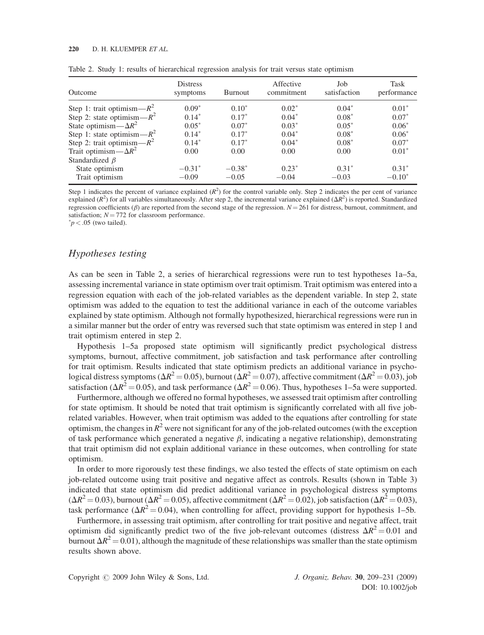| Outcome                       | <b>Distress</b><br>symptoms | Burnout  | Affective<br>commitment | Job<br>satisfaction | Task<br>performance |
|-------------------------------|-----------------------------|----------|-------------------------|---------------------|---------------------|
| Step 1: trait optimism— $R^2$ | $0.09*$                     | $0.10*$  | $0.02*$                 | $0.04*$             | $0.01*$             |
| Step 2: state optimism— $R^2$ | $0.14*$                     | $0.17*$  | $0.04*$                 | $0.08*$             | $0.07*$             |
| State optimism $-\Delta R^2$  | $0.05*$                     | $0.07*$  | $0.03*$                 | $0.05*$             | $0.06*$             |
| Step 1: state optimism— $R^2$ | $0.14*$                     | $0.17*$  | $0.04*$                 | $0.08*$             | $0.06*$             |
| Step 2: trait optimism— $R^2$ | $0.14*$                     | $0.17*$  | $0.04*$                 | $0.08*$             | $0.07*$             |
| Trait optimism $-\Delta R^2$  | 0.00                        | 0.00     | 0.00                    | 0.00                | $0.01*$             |
| Standardized $\beta$          |                             |          |                         |                     |                     |
| State optimism                | $-0.31*$                    | $-0.38*$ | $0.23*$                 | $0.31*$             | $0.31*$             |
| Trait optimism                | $-0.09$                     | $-0.05$  | $-0.04$                 | $-0.03$             | $-0.10*$            |

Table 2. Study 1: results of hierarchical regression analysis for trait versus state optimism

Step 1 indicates the percent of variance explained  $(R^2)$  for the control variable only. Step 2 indicates the per cent of variance explained  $(R^2)$  for all variables simultaneously. After step 2, the incremental variance explained  $(\Delta R^2)$  is reported. Standardized regression coefficients ( $\beta$ ) are reported from the second stage of the regression.  $N = 261$  for distress, burnout, commitment, and satisfaction;  $N = 772$  for classroom performance.

 $p < .05$  (two tailed).

### Hypotheses testing

As can be seen in Table 2, a series of hierarchical regressions were run to test hypotheses 1a–5a, assessing incremental variance in state optimism over trait optimism. Trait optimism was entered into a regression equation with each of the job-related variables as the dependent variable. In step 2, state optimism was added to the equation to test the additional variance in each of the outcome variables explained by state optimism. Although not formally hypothesized, hierarchical regressions were run in a similar manner but the order of entry was reversed such that state optimism was entered in step 1 and trait optimism entered in step 2.

Hypothesis 1–5a proposed state optimism will significantly predict psychological distress symptoms, burnout, affective commitment, job satisfaction and task performance after controlling for trait optimism. Results indicated that state optimism predicts an additional variance in psychological distress symptoms ( $\Delta R^2 = 0.05$ ), burnout ( $\Delta R^2 = 0.07$ ), affective commitment ( $\Delta R^2 = 0.03$ ), job satisfaction ( $\Delta R^2 = 0.05$ ), and task performance ( $\Delta R^2 = 0.06$ ). Thus, hypotheses 1–5a were supported.

Furthermore, although we offered no formal hypotheses, we assessed trait optimism after controlling for state optimism. It should be noted that trait optimism is significantly correlated with all five jobrelated variables. However, when trait optimism was added to the equations after controlling for state optimism, the changes in  $R^2$  were not significant for any of the job-related outcomes (with the exception of task performance which generated a negative  $\beta$ , indicating a negative relationship), demonstrating that trait optimism did not explain additional variance in these outcomes, when controlling for state optimism.

In order to more rigorously test these findings, we also tested the effects of state optimism on each job-related outcome using trait positive and negative affect as controls. Results (shown in Table 3) indicated that state optimism did predict additional variance in psychological distress symptoms  $(\Delta R^2 = 0.03)$ , burnout ( $\Delta R^2 = 0.05$ ), affective commitment ( $\Delta R^2 = 0.02$ ), job satisfaction ( $\Delta R^2 = 0.03$ ), task performance ( $\Delta R^2 = 0.04$ ), when controlling for affect, providing support for hypothesis 1–5b.

Furthermore, in assessing trait optimism, after controlling for trait positive and negative affect, trait optimism did significantly predict two of the five job-relevant outcomes (distress  $\Delta R^2 = 0.01$  and burnout  $\Delta R^2 = 0.01$ ), although the magnitude of these relationships was smaller than the state optimism results shown above.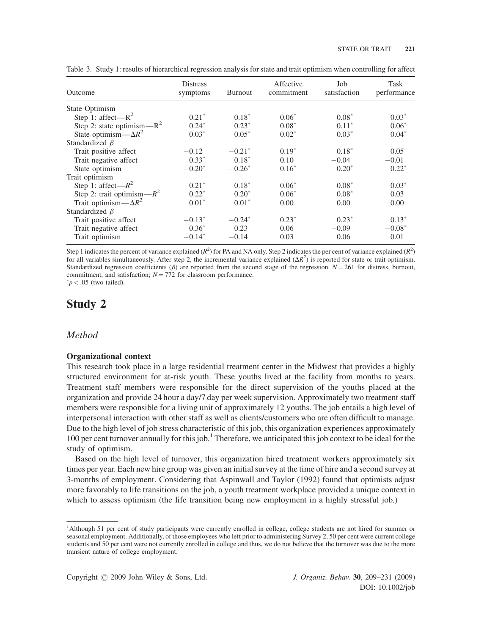| Outcome                       | <b>Distress</b><br>symptoms | <b>Burnout</b> | Affective<br>commitment | Job<br>satisfaction | Task<br>performance |
|-------------------------------|-----------------------------|----------------|-------------------------|---------------------|---------------------|
| State Optimism                |                             |                |                         |                     |                     |
| Step 1: affect— $R^2$         | $0.21*$                     | $0.18*$        | $0.06*$                 | $0.08*$             | $0.03*$             |
| Step 2: state optimism— $R^2$ | $0.24*$                     | $0.23*$        | $0.08*$                 | $0.11*$             | $0.06*$             |
| State optimism— $\Delta R^2$  | $0.03*$                     | $0.05*$        | $0.02*$                 | $0.03*$             | $0.04*$             |
| Standardized $\beta$          |                             |                |                         |                     |                     |
| Trait positive affect         | $-0.12$                     | $-0.21*$       | $0.19*$                 | $0.18*$             | 0.05                |
| Trait negative affect         | $0.33*$                     | $0.18*$        | 0.10                    | $-0.04$             | $-0.01$             |
| State optimism                | $-0.20^*$                   | $-0.26*$       | $0.16*$                 | $0.20^*$            | $0.22*$             |
| Trait optimism                |                             |                |                         |                     |                     |
| Step 1: affect— $R^2$         | $0.21*$                     | $0.18*$        | $0.06*$                 | $0.08*$             | $0.03*$             |
| Step 2: trait optimism— $R^2$ | $0.22*$                     | $0.20^*$       | $0.06*$                 | $0.08*$             | 0.03                |
| Trait optimism $-\Delta R^2$  | $0.01*$                     | $0.01*$        | 0.00                    | 0.00                | 0.00                |
| Standardized $\beta$          |                             |                |                         |                     |                     |
| Trait positive affect         | $-0.13*$                    | $-0.24*$       | $0.23*$                 | $0.23*$             | $0.13*$             |
| Trait negative affect         | $0.36*$                     | 0.23           | 0.06                    | $-0.09$             | $-0.08*$            |
| Trait optimism                | $-0.14*$                    | $-0.14$        | 0.03                    | 0.06                | 0.01                |

Table 3. Study 1: results of hierarchical regression analysis for state and trait optimism when controlling for affect

Step 1 indicates the percent of variance explained ( $R^2$ ) for PA and NA only. Step 2 indicates the per cent of variance explained ( $R^2$ ) for all variables simultaneously. After step 2, the incremental variance explained  $(\Delta R^2)$  is reported for state or trait optimism. Standardized regression coefficients ( $\beta$ ) are reported from the second stage of the regression.  $N = 261$  for distress, burnout, commitment, and satisfaction;  $N = 772$  for classroom performance.

 $p < .05$  (two tailed).

## Study 2

### Method

#### Organizational context

This research took place in a large residential treatment center in the Midwest that provides a highly structured environment for at-risk youth. These youths lived at the facility from months to years. Treatment staff members were responsible for the direct supervision of the youths placed at the organization and provide 24 hour a day/7 day per week supervision. Approximately two treatment staff members were responsible for a living unit of approximately 12 youths. The job entails a high level of interpersonal interaction with other staff as well as clients/customers who are often difficult to manage. Due to the high level of job stress characteristic of this job, this organization experiences approximately 100 per cent turnover annually for this job.<sup>1</sup> Therefore, we anticipated this job context to be ideal for the study of optimism.

Based on the high level of turnover, this organization hired treatment workers approximately six times per year. Each new hire group was given an initial survey at the time of hire and a second survey at 3-months of employment. Considering that Aspinwall and Taylor (1992) found that optimists adjust more favorably to life transitions on the job, a youth treatment workplace provided a unique context in which to assess optimism (the life transition being new employment in a highly stressful job.)

<sup>&</sup>lt;sup>1</sup>Although 51 per cent of study participants were currently enrolled in college, college students are not hired for summer or seasonal employment. Additionally, of those employees who left prior to administering Survey 2, 50 per cent were current college students and 50 per cent were not currently enrolled in college and thus, we do not believe that the turnover was due to the more transient nature of college employment.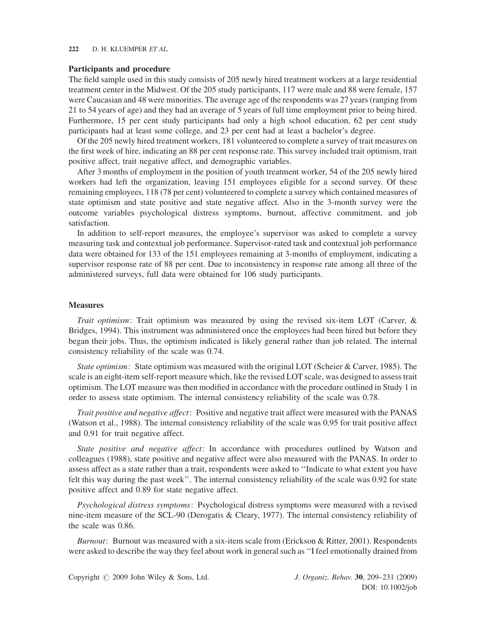#### Participants and procedure

The field sample used in this study consists of 205 newly hired treatment workers at a large residential treatment center in the Midwest. Of the 205 study participants, 117 were male and 88 were female, 157 were Caucasian and 48 were minorities. The average age of the respondents was 27 years (ranging from 21 to 54 years of age) and they had an average of 5 years of full time employment prior to being hired. Furthermore, 15 per cent study participants had only a high school education, 62 per cent study participants had at least some college, and 23 per cent had at least a bachelor's degree.

Of the 205 newly hired treatment workers, 181 volunteered to complete a survey of trait measures on the first week of hire, indicating an 88 per cent response rate. This survey included trait optimism, trait positive affect, trait negative affect, and demographic variables.

After 3 months of employment in the position of youth treatment worker, 54 of the 205 newly hired workers had left the organization, leaving 151 employees eligible for a second survey. Of these remaining employees, 118 (78 per cent) volunteered to complete a survey which contained measures of state optimism and state positive and state negative affect. Also in the 3-month survey were the outcome variables psychological distress symptoms, burnout, affective commitment, and job satisfaction.

In addition to self-report measures, the employee's supervisor was asked to complete a survey measuring task and contextual job performance. Supervisor-rated task and contextual job performance data were obtained for 133 of the 151 employees remaining at 3-months of employment, indicating a supervisor response rate of 88 per cent. Due to inconsistency in response rate among all three of the administered surveys, full data were obtained for 106 study participants.

#### **Measures**

Trait optimism: Trait optimism was measured by using the revised six-item LOT (Carver, & Bridges, 1994). This instrument was administered once the employees had been hired but before they began their jobs. Thus, the optimism indicated is likely general rather than job related. The internal consistency reliability of the scale was 0.74.

State optimism: State optimism was measured with the original LOT (Scheier & Carver, 1985). The scale is an eight-item self-report measure which, like the revised LOT scale, was designed to assess trait optimism. The LOT measure was then modified in accordance with the procedure outlined in Study 1 in order to assess state optimism. The internal consistency reliability of the scale was 0.78.

Trait positive and negative affect: Positive and negative trait affect were measured with the PANAS (Watson et al., 1988). The internal consistency reliability of the scale was 0.95 for trait positive affect and 0.91 for trait negative affect.

State positive and negative affect: In accordance with procedures outlined by Watson and colleagues (1988), state positive and negative affect were also measured with the PANAS. In order to assess affect as a state rather than a trait, respondents were asked to ''Indicate to what extent you have felt this way during the past week''. The internal consistency reliability of the scale was 0.92 for state positive affect and 0.89 for state negative affect.

Psychological distress symptoms: Psychological distress symptoms were measured with a revised nine-item measure of the SCL-90 (Derogatis & Cleary, 1977). The internal consistency reliability of the scale was 0.86.

*Burnout*: Burnout was measured with a six-item scale from (Erickson & Ritter, 2001). Respondents were asked to describe the way they feel about work in general such as ''I feel emotionally drained from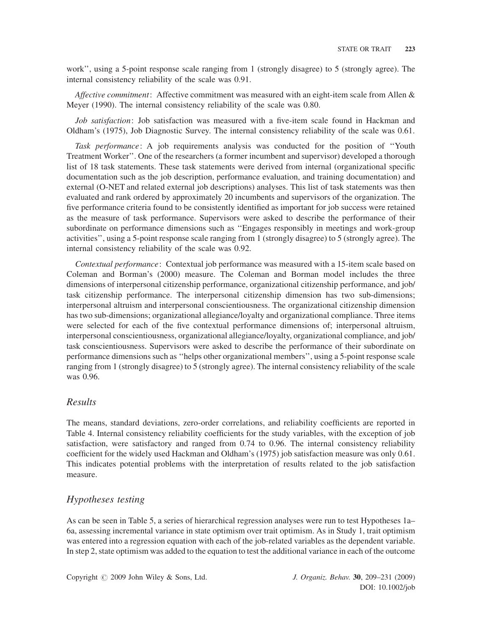work'', using a 5-point response scale ranging from 1 (strongly disagree) to 5 (strongly agree). The internal consistency reliability of the scale was 0.91.

*Affective commitment*: Affective commitment was measured with an eight-item scale from Allen  $\&$ Meyer (1990). The internal consistency reliability of the scale was 0.80.

Job satisfaction: Job satisfaction was measured with a five-item scale found in Hackman and Oldham's (1975), Job Diagnostic Survey. The internal consistency reliability of the scale was 0.61.

Task performance: A job requirements analysis was conducted for the position of ''Youth Treatment Worker''. One of the researchers (a former incumbent and supervisor) developed a thorough list of 18 task statements. These task statements were derived from internal (organizational specific documentation such as the job description, performance evaluation, and training documentation) and external (O-NET and related external job descriptions) analyses. This list of task statements was then evaluated and rank ordered by approximately 20 incumbents and supervisors of the organization. The five performance criteria found to be consistently identified as important for job success were retained as the measure of task performance. Supervisors were asked to describe the performance of their subordinate on performance dimensions such as ''Engages responsibly in meetings and work-group activities'', using a 5-point response scale ranging from 1 (strongly disagree) to 5 (strongly agree). The internal consistency reliability of the scale was 0.92.

Contextual performance: Contextual job performance was measured with a 15-item scale based on Coleman and Borman's (2000) measure. The Coleman and Borman model includes the three dimensions of interpersonal citizenship performance, organizational citizenship performance, and job/ task citizenship performance. The interpersonal citizenship dimension has two sub-dimensions; interpersonal altruism and interpersonal conscientiousness. The organizational citizenship dimension has two sub-dimensions; organizational allegiance/loyalty and organizational compliance. Three items were selected for each of the five contextual performance dimensions of; interpersonal altruism, interpersonal conscientiousness, organizational allegiance/loyalty, organizational compliance, and job/ task conscientiousness. Supervisors were asked to describe the performance of their subordinate on performance dimensions such as ''helps other organizational members'', using a 5-point response scale ranging from 1 (strongly disagree) to 5 (strongly agree). The internal consistency reliability of the scale was 0.96.

### Results

The means, standard deviations, zero-order correlations, and reliability coefficients are reported in Table 4. Internal consistency reliability coefficients for the study variables, with the exception of job satisfaction, were satisfactory and ranged from 0.74 to 0.96. The internal consistency reliability coefficient for the widely used Hackman and Oldham's (1975) job satisfaction measure was only 0.61. This indicates potential problems with the interpretation of results related to the job satisfaction measure.

### Hypotheses testing

As can be seen in Table 5, a series of hierarchical regression analyses were run to test Hypotheses 1a– 6a, assessing incremental variance in state optimism over trait optimism. As in Study 1, trait optimism was entered into a regression equation with each of the job-related variables as the dependent variable. In step 2, state optimism was added to the equation to test the additional variance in each of the outcome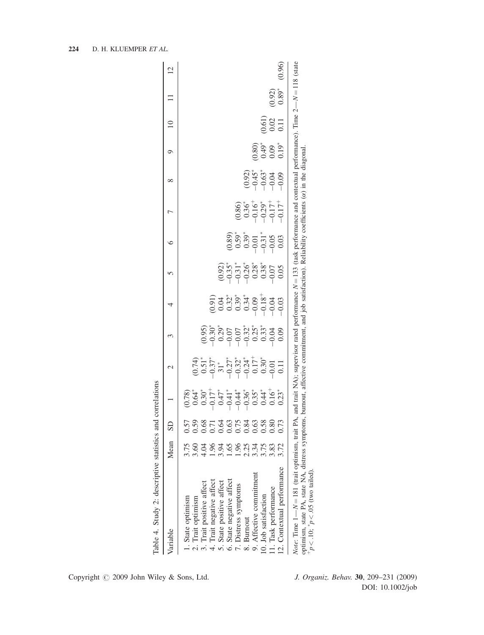| Table 4. Study 2: descriptive statistics and correlations                                                                                                                                                                                                                                                                                                                               |                                                                                     |                                    |  |   |                                                                                                                        |                                                                                              |                                                                                              |                                                                      |                              |                         |                                                   |                                 |                |
|-----------------------------------------------------------------------------------------------------------------------------------------------------------------------------------------------------------------------------------------------------------------------------------------------------------------------------------------------------------------------------------------|-------------------------------------------------------------------------------------|------------------------------------|--|---|------------------------------------------------------------------------------------------------------------------------|----------------------------------------------------------------------------------------------|----------------------------------------------------------------------------------------------|----------------------------------------------------------------------|------------------------------|-------------------------|---------------------------------------------------|---------------------------------|----------------|
| Variable                                                                                                                                                                                                                                                                                                                                                                                | Mean                                                                                | $_{\rm SD}$                        |  | 3 | 4                                                                                                                      |                                                                                              |                                                                                              |                                                                      | ∞                            |                         | $\supseteq$                                       |                                 | $\overline{c}$ |
| 12. Contextual performance<br>9. Affective commitment<br>6. State negative affect<br>4. Trait negative affect<br>5. State positive affect<br>3. Trait positive affect<br>7. Distress symptoms<br>11. Task performance<br>10. Job satisfaction<br>1. State optimism<br>2. Trait optimism<br>8. Burnout                                                                                   | 3.75<br>়ত<br>3.94<br>$\widetilde{\mathcal{O}}$<br>2.25<br>3.75<br>্<br>3.85<br>3.3 | 53854353638<br>53854353638<br>0.73 |  |   | $0.91$<br>$0.324$<br>$0.334$<br>$0.34$<br>$0.34$<br>$0.34$<br>$0.34$<br>$0.34$<br>$0.34$<br>$0.34$<br>$0.34$<br>$0.34$ | $(0.92)$<br>$(0.37)$<br>$(0.37)$<br>$(0.28)$<br>$(0.38)$<br>$(0.38)$<br>$(0.37)$<br>$(0.39)$ | $(0.89)$<br>$(0.59)$<br>$(0.59)$<br>$(0.59)$<br>$(0.59)$<br>$(0.59)$<br>$(0.59)$<br>$(0.59)$ | $(0.86)$<br>$0.36^*$<br>$0.16^+$<br>$0.29^*$<br>$0.17^+$<br>$0.17^+$ | $2340 + 290$<br>$-990 + 990$ | 63485<br>0.000<br>0.000 | $\begin{array}{c} 61 \\ 0.02 \\ 0.11 \end{array}$ | $(0.92)$<br>$0.89$ <sup>*</sup> | (0.96)         |
| Note: Time $1 - N = 181$ (trait optimism, trait PA, and trait NA); supervisor rated performance $N = 133$ (task performance and contextual performance). Time $2 - N = 118$ (state<br>optimism, state PA, state NA, distress symptoms, burnout, affective commitment, and job satisfaction). Reliability coefficients $(\alpha)$ in the diagonal<br>$p < 10$ ; $p < 0.05$ (two tailed). |                                                                                     |                                    |  |   |                                                                                                                        |                                                                                              |                                                                                              |                                                                      |                              |                         |                                                   |                                 |                |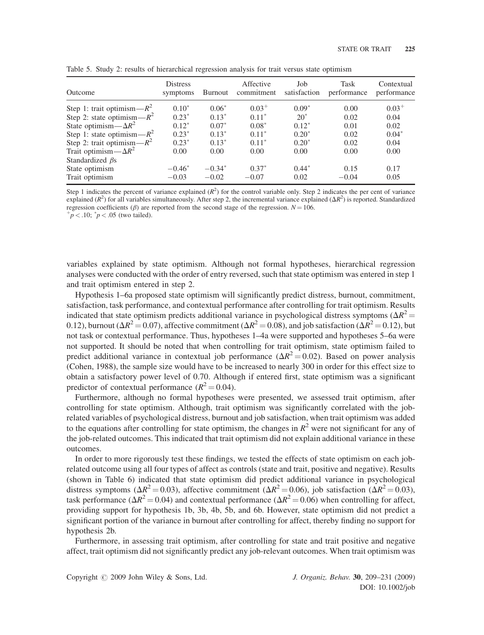| Outcome                       | <b>Distress</b><br>symptoms | Burnout  | Affective<br>commitment | Job<br>satisfaction | Task<br>performance | Contextual<br>performance |
|-------------------------------|-----------------------------|----------|-------------------------|---------------------|---------------------|---------------------------|
| Step 1: trait optimism— $R^2$ | $0.10*$                     | $0.06*$  | $0.03^{+}$              | $0.09*$             | 0.00                | $0.03^{+}$                |
| Step 2: state optimism— $R^2$ | $0.23*$                     | $0.13*$  | $0.11*$                 | $20*$               | 0.02                | 0.04                      |
| State optimism $-\Delta R^2$  | $0.12*$                     | $0.07*$  | $0.08*$                 | $0.12*$             | 0.01                | 0.02                      |
| Step 1: state optimism— $R^2$ | $0.23*$                     | $0.13*$  | $0.11*$                 | $0.20^*$            | 0.02                | $0.04*$                   |
| Step 2: trait optimism— $R^2$ | $0.23*$                     | $0.13*$  | $0.11*$                 | $0.20*$             | 0.02                | 0.04                      |
| Trait optimism $-\Delta R^2$  | 0.00                        | 0.00     | 0.00                    | 0.00                | 0.00                | 0.00                      |
| Standardized $\beta$ s        |                             |          |                         |                     |                     |                           |
| State optimism                | $-0.46^*$                   | $-0.34*$ | $0.37*$                 | $0.44*$             | 0.15                | 0.17                      |
| Trait optimism                | $-0.03$                     | $-0.02$  | $-0.07$                 | 0.02                | $-0.04$             | 0.05                      |

Table 5. Study 2: results of hierarchical regression analysis for trait versus state optimism

Step 1 indicates the percent of variance explained  $(R^2)$  for the control variable only. Step 2 indicates the per cent of variance explained ( $R^2$ ) for all variables simultaneously. After step 2, the incremental variance explained ( $\Delta R^2$ ) is reported. Standardized regression coefficients ( $\beta$ ) are reported from the second stage of the regression.  $N = 106$ .

 $p < .10$ ;  $p < .05$  (two tailed).

variables explained by state optimism. Although not formal hypotheses, hierarchical regression analyses were conducted with the order of entry reversed, such that state optimism was entered in step 1 and trait optimism entered in step 2.

Hypothesis 1–6a proposed state optimism will significantly predict distress, burnout, commitment, satisfaction, task performance, and contextual performance after controlling for trait optimism. Results indicated that state optimism predicts additional variance in psychological distress symptoms ( $\Delta R^2$  = 0.12), burnout ( $\Delta R^2 = 0.07$ ), affective commitment ( $\Delta R^2 = 0.08$ ), and job satisfaction ( $\Delta R^2 = 0.12$ ), but not task or contextual performance. Thus, hypotheses 1–4a were supported and hypotheses 5–6a were not supported. It should be noted that when controlling for trait optimism, state optimism failed to predict additional variance in contextual job performance  $(\Delta R^2 = 0.02)$ . Based on power analysis (Cohen, 1988), the sample size would have to be increased to nearly 300 in order for this effect size to obtain a satisfactory power level of 0.70. Although if entered first, state optimism was a significant predictor of contextual performance  $(R^2 = 0.04)$ .

Furthermore, although no formal hypotheses were presented, we assessed trait optimism, after controlling for state optimism. Although, trait optimism was significantly correlated with the jobrelated variables of psychological distress, burnout and job satisfaction, when trait optimism was added to the equations after controlling for state optimism, the changes in  $R^2$  were not significant for any of the job-related outcomes. This indicated that trait optimism did not explain additional variance in these outcomes.

In order to more rigorously test these findings, we tested the effects of state optimism on each jobrelated outcome using all four types of affect as controls (state and trait, positive and negative). Results (shown in Table 6) indicated that state optimism did predict additional variance in psychological distress symptoms ( $\Delta R^2 = 0.03$ ), affective commitment ( $\Delta R^2 = 0.06$ ), job satisfaction ( $\Delta R^2 = 0.03$ ), task performance ( $\Delta R^2 = 0.04$ ) and contextual performance ( $\Delta R^2 = 0.06$ ) when controlling for affect, providing support for hypothesis 1b, 3b, 4b, 5b, and 6b. However, state optimism did not predict a significant portion of the variance in burnout after controlling for affect, thereby finding no support for hypothesis 2b.

Furthermore, in assessing trait optimism, after controlling for state and trait positive and negative affect, trait optimism did not significantly predict any job-relevant outcomes. When trait optimism was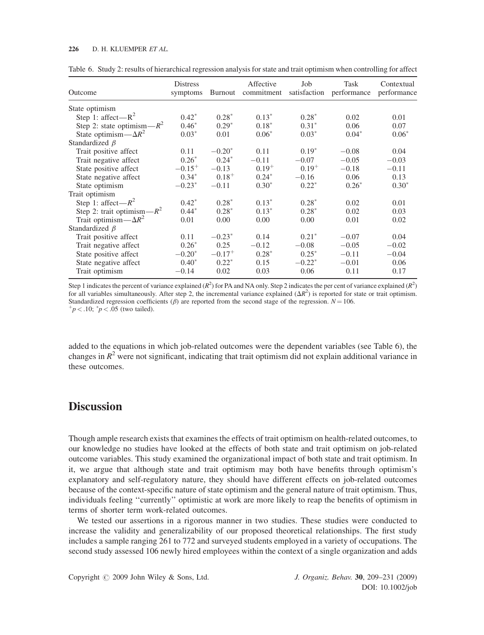|  | Table 6. Study 2: results of hierarchical regression analysis for state and trait optimism when controlling for affect |  |  |  |
|--|------------------------------------------------------------------------------------------------------------------------|--|--|--|
|  |                                                                                                                        |  |  |  |

| Outcome                       | <b>Distress</b><br>symptoms | Burnout     | Affective<br>commitment | Job        | Task<br>satisfaction performance | Contextual<br>performance |
|-------------------------------|-----------------------------|-------------|-------------------------|------------|----------------------------------|---------------------------|
| State optimism                |                             |             |                         |            |                                  |                           |
| Step 1: affect— $R^2$         | $0.42*$                     | $0.28*$     | $0.13*$                 | $0.28*$    | 0.02                             | 0.01                      |
| Step 2: state optimism— $R^2$ | $0.46*$                     | $0.29*$     | $0.18*$                 | $0.31*$    | 0.06                             | 0.07                      |
| State optimism $-\Delta R^2$  | $0.03*$                     | 0.01        | $0.06*$                 | $0.03*$    | $0.04*$                          | $0.06*$                   |
| Standardized $\beta$          |                             |             |                         |            |                                  |                           |
| Trait positive affect         | 0.11                        | $-0.20^*$   | 0.11                    | $0.19*$    | $-0.08$                          | 0.04                      |
| Trait negative affect         | $0.26*$                     | $0.24*$     | $-0.11$                 | $-0.07$    | $-0.05$                          | $-0.03$                   |
| State positive affect         | $-0.15^{+}$                 | $-0.13$     | $0.19^{+}$              | $0.19^{+}$ | $-0.18$                          | $-0.11$                   |
| State negative affect         | $0.34*$                     | $0.18^{+}$  | $0.24*$                 | $-0.16$    | 0.06                             | 0.13                      |
| State optimism                | $-0.23*$                    | $-0.11$     | $0.30*$                 | $0.22*$    | $0.26*$                          | $0.30^*$                  |
| Trait optimism                |                             |             |                         |            |                                  |                           |
| Step 1: affect— $R^2$         | $0.42*$                     | $0.28*$     | $0.13*$                 | $0.28*$    | 0.02                             | 0.01                      |
| Step 2: trait optimism— $R^2$ | $0.44*$                     | $0.28*$     | $0.13*$                 | $0.28*$    | 0.02                             | 0.03                      |
| Trait optimism $-\Delta R^2$  | 0.01                        | 0.00        | 0.00                    | 0.00       | 0.01                             | 0.02                      |
| Standardized $\beta$          |                             |             |                         |            |                                  |                           |
| Trait positive affect         | 0.11                        | $-0.23^*$   | 0.14                    | $0.21*$    | $-0.07$                          | 0.04                      |
| Trait negative affect         | $0.26*$                     | 0.25        | $-0.12$                 | $-0.08$    | $-0.05$                          | $-0.02$                   |
| State positive affect         | $-0.20^*$                   | $-0.17^{+}$ | $0.28*$                 | $0.25*$    | $-0.11$                          | $-0.04$                   |
| State negative affect         | $0.40*$                     | $0.22*$     | 0.15                    | $-0.22*$   | $-0.01$                          | 0.06                      |
| Trait optimism                | $-0.14$                     | 0.02        | 0.03                    | 0.06       | 0.11                             | 0.17                      |

Step 1 indicates the percent of variance explained ( $R^2$ ) for PA and NA only. Step 2 indicates the per cent of variance explained ( $R^2$ ) for all variables simultaneously. After step 2, the incremental variance explained  $(\Delta R^2)$  is reported for state or trait optimism. Standardized regression coefficients ( $\beta$ ) are reported from the second stage of the regression.  $N = 106$ .  $p < .10$ ;  $p < .05$  (two tailed).

added to the equations in which job-related outcomes were the dependent variables (see Table 6), the changes in  $R<sup>2</sup>$  were not significant, indicating that trait optimism did not explain additional variance in these outcomes.

### **Discussion**

Though ample research exists that examines the effects of trait optimism on health-related outcomes, to our knowledge no studies have looked at the effects of both state and trait optimism on job-related outcome variables. This study examined the organizational impact of both state and trait optimism. In it, we argue that although state and trait optimism may both have benefits through optimism's explanatory and self-regulatory nature, they should have different effects on job-related outcomes because of the context-specific nature of state optimism and the general nature of trait optimism. Thus, individuals feeling ''currently'' optimistic at work are more likely to reap the benefits of optimism in terms of shorter term work-related outcomes.

We tested our assertions in a rigorous manner in two studies. These studies were conducted to increase the validity and generalizability of our proposed theoretical relationships. The first study includes a sample ranging 261 to 772 and surveyed students employed in a variety of occupations. The second study assessed 106 newly hired employees within the context of a single organization and adds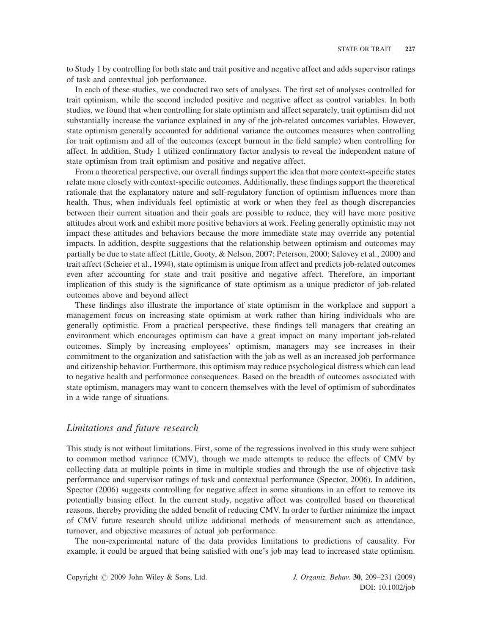to Study 1 by controlling for both state and trait positive and negative affect and adds supervisor ratings of task and contextual job performance.

In each of these studies, we conducted two sets of analyses. The first set of analyses controlled for trait optimism, while the second included positive and negative affect as control variables. In both studies, we found that when controlling for state optimism and affect separately, trait optimism did not substantially increase the variance explained in any of the job-related outcomes variables. However, state optimism generally accounted for additional variance the outcomes measures when controlling for trait optimism and all of the outcomes (except burnout in the field sample) when controlling for affect. In addition, Study 1 utilized confirmatory factor analysis to reveal the independent nature of state optimism from trait optimism and positive and negative affect.

From a theoretical perspective, our overall findings support the idea that more context-specific states relate more closely with context-specific outcomes. Additionally, these findings support the theoretical rationale that the explanatory nature and self-regulatory function of optimism influences more than health. Thus, when individuals feel optimistic at work or when they feel as though discrepancies between their current situation and their goals are possible to reduce, they will have more positive attitudes about work and exhibit more positive behaviors at work. Feeling generally optimistic may not impact these attitudes and behaviors because the more immediate state may override any potential impacts. In addition, despite suggestions that the relationship between optimism and outcomes may partially be due to state affect (Little, Gooty, & Nelson, 2007; Peterson, 2000; Salovey et al., 2000) and trait affect (Scheier et al., 1994), state optimism is unique from affect and predicts job-related outcomes even after accounting for state and trait positive and negative affect. Therefore, an important implication of this study is the significance of state optimism as a unique predictor of job-related outcomes above and beyond affect

These findings also illustrate the importance of state optimism in the workplace and support a management focus on increasing state optimism at work rather than hiring individuals who are generally optimistic. From a practical perspective, these findings tell managers that creating an environment which encourages optimism can have a great impact on many important job-related outcomes. Simply by increasing employees' optimism, managers may see increases in their commitment to the organization and satisfaction with the job as well as an increased job performance and citizenship behavior. Furthermore, this optimism may reduce psychological distress which can lead to negative health and performance consequences. Based on the breadth of outcomes associated with state optimism, managers may want to concern themselves with the level of optimism of subordinates in a wide range of situations.

### Limitations and future research

This study is not without limitations. First, some of the regressions involved in this study were subject to common method variance (CMV), though we made attempts to reduce the effects of CMV by collecting data at multiple points in time in multiple studies and through the use of objective task performance and supervisor ratings of task and contextual performance (Spector, 2006). In addition, Spector (2006) suggests controlling for negative affect in some situations in an effort to remove its potentially biasing effect. In the current study, negative affect was controlled based on theoretical reasons, thereby providing the added benefit of reducing CMV. In order to further minimize the impact of CMV future research should utilize additional methods of measurement such as attendance, turnover, and objective measures of actual job performance.

The non-experimental nature of the data provides limitations to predictions of causality. For example, it could be argued that being satisfied with one's job may lead to increased state optimism.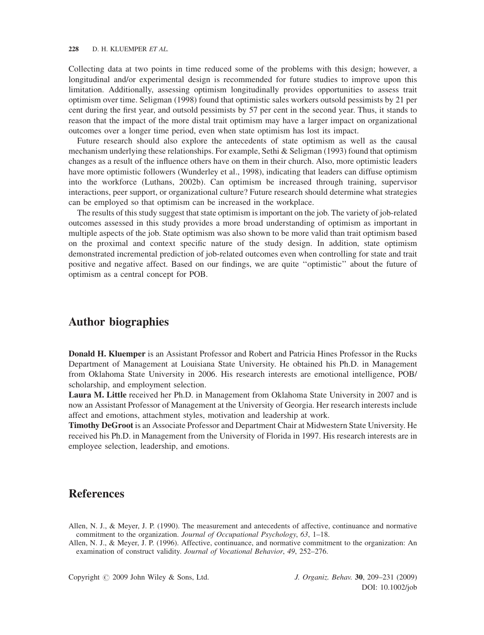Collecting data at two points in time reduced some of the problems with this design; however, a longitudinal and/or experimental design is recommended for future studies to improve upon this limitation. Additionally, assessing optimism longitudinally provides opportunities to assess trait optimism over time. Seligman (1998) found that optimistic sales workers outsold pessimists by 21 per cent during the first year, and outsold pessimists by 57 per cent in the second year. Thus, it stands to reason that the impact of the more distal trait optimism may have a larger impact on organizational outcomes over a longer time period, even when state optimism has lost its impact.

Future research should also explore the antecedents of state optimism as well as the causal mechanism underlying these relationships. For example, Sethi & Seligman (1993) found that optimism changes as a result of the influence others have on them in their church. Also, more optimistic leaders have more optimistic followers (Wunderley et al., 1998), indicating that leaders can diffuse optimism into the workforce (Luthans, 2002b). Can optimism be increased through training, supervisor interactions, peer support, or organizational culture? Future research should determine what strategies can be employed so that optimism can be increased in the workplace.

The results of this study suggest that state optimism is important on the job. The variety of job-related outcomes assessed in this study provides a more broad understanding of optimism as important in multiple aspects of the job. State optimism was also shown to be more valid than trait optimism based on the proximal and context specific nature of the study design. In addition, state optimism demonstrated incremental prediction of job-related outcomes even when controlling for state and trait positive and negative affect. Based on our findings, we are quite ''optimistic'' about the future of optimism as a central concept for POB.

### Author biographies

Donald H. Kluemper is an Assistant Professor and Robert and Patricia Hines Professor in the Rucks Department of Management at Louisiana State University. He obtained his Ph.D. in Management from Oklahoma State University in 2006. His research interests are emotional intelligence, POB/ scholarship, and employment selection.

Laura M. Little received her Ph.D. in Management from Oklahoma State University in 2007 and is now an Assistant Professor of Management at the University of Georgia. Her research interests include affect and emotions, attachment styles, motivation and leadership at work.

Timothy DeGroot is an Associate Professor and Department Chair at Midwestern State University. He received his Ph.D. in Management from the University of Florida in 1997. His research interests are in employee selection, leadership, and emotions.

### References

Allen, N. J., & Meyer, J. P. (1990). The measurement and antecedents of affective, continuance and normative commitment to the organization. Journal of Occupational Psychology, 63, 1–18.

Allen, N. J., & Meyer, J. P. (1996). Affective, continuance, and normative commitment to the organization: An examination of construct validity. Journal of Vocational Behavior, 49, 252–276.

Copyright  $\odot$  2009 John Wiley & Sons, Ltd. J. Organiz. Behav. 30, 209–231 (2009)

DOI: 10.1002/job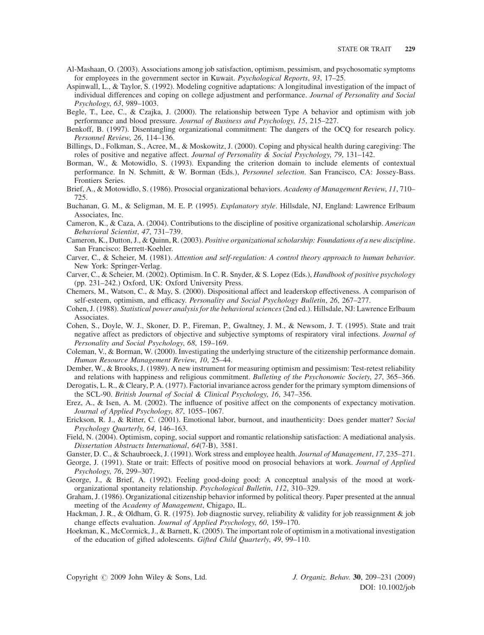- Al-Mashaan, O. (2003). Associations among job satisfaction, optimism, pessimism, and psychosomatic symptoms for employees in the government sector in Kuwait. Psychological Reports, 93, 17–25.
- Aspinwall, L., & Taylor, S. (1992). Modeling cognitive adaptations: A longitudinal investigation of the impact of individual differences and coping on college adjustment and performance. Journal of Personality and Social Psychology, 63, 989–1003.
- Begle, T., Lee, C., & Czajka, J. (2000). The relationship between Type A behavior and optimism with job performance and blood pressure. Journal of Business and Psychology, 15, 215–227.
- Benkoff, B. (1997). Disentangling organizational commitment: The dangers of the OCQ for research policy. Personnel Review, 26, 114–136.
- Billings, D., Folkman, S., Acree, M., & Moskowitz, J. (2000). Coping and physical health during caregiving: The roles of positive and negative affect. Journal of Personality & Social Psychology, 79, 131–142.
- Borman, W., & Motowidlo, S. (1993). Expanding the criterion domain to include elements of contextual performance. In N. Schmitt, & W. Borman (Eds.), Personnel selection. San Francisco, CA: Jossey-Bass. Frontiers Series.
- Brief, A., & Motowidlo, S. (1986). Prosocial organizational behaviors. Academy of Management Review, 11, 710– 725.
- Buchanan, G. M., & Seligman, M. E. P. (1995). Explanatory style. Hillsdale, NJ, England: Lawrence Erlbaum Associates, Inc.
- Cameron, K., & Caza, A. (2004). Contributions to the discipline of positive organizational scholarship. American Behavioral Scientist, 47, 731–739.
- Cameron, K., Dutton, J., & Quinn, R. (2003). Positive organizational scholarship: Foundations of a new discipline. San Francisco: Berrett-Koehler.
- Carver, C., & Scheier, M. (1981). Attention and self-regulation: A control theory approach to human behavior. New York: Springer-Verlag.
- Carver, C., & Scheier, M. (2002). Optimism. In C. R. Snyder, & S. Lopez (Eds.), Handbook of positive psychology (pp. 231–242.) Oxford, UK: Oxford University Press.
- Chemers, M., Watson, C., & May, S. (2000). Dispositional affect and leaderskop effectiveness. A comparison of self-esteem, optimism, and efficacy. Personality and Social Psychology Bulletin, 26, 267–277.
- Cohen, J. (1988). Statistical power analysis for the behavioral sciences(2nd ed.). Hillsdale, NJ: Lawrence Erlbaum Associates.
- Cohen, S., Doyle, W. J., Skoner, D. P., Fireman, P., Gwaltney, J. M., & Newsom, J. T. (1995). State and trait negative affect as predictors of objective and subjective symptoms of respiratory viral infections. Journal of Personality and Social Psychology, 68, 159–169.
- Coleman, V., & Borman, W. (2000). Investigating the underlying structure of the citizenship performance domain. Human Resource Management Review, 10, 25–44.
- Dember, W., & Brooks, J. (1989). A new instrument for measuring optimism and pessimism: Test-retest reliability and relations with happiness and religious commitment. Bulleting of the Psychonomic Society, 27, 365–366.
- Derogatis, L. R., & Cleary, P. A. (1977). Factorial invariance across gender for the primary symptom dimensions of the SCL-90. British Journal of Social & Clinical Psychology, 16, 347–356.
- Erez, A., & Isen, A. M. (2002). The influence of positive affect on the components of expectancy motivation. Journal of Applied Psychology, 87, 1055–1067.
- Erickson, R. J., & Ritter, C. (2001). Emotional labor, burnout, and inauthenticity: Does gender matter? Social Psychology Quarterly, 64, 146–163.
- Field, N. (2004). Optimism, coping, social support and romantic relationship satisfaction: A mediational analysis. Dissertation Abstracts International, 64(7-B), 3581.
- Ganster, D. C., & Schaubroeck, J. (1991). Work stress and employee health. Journal of Management, 17, 235–271.
- George, J. (1991). State or trait: Effects of positive mood on prosocial behaviors at work. Journal of Applied Psychology, 76, 299–307.
- George, J., & Brief, A. (1992). Feeling good-doing good: A conceptual analysis of the mood at workorganizational spontaneity relationship. Psychological Bulletin, 112, 310–329.
- Graham, J. (1986). Organizational citizenship behavior informed by political theory. Paper presented at the annual meeting of the Academy of Management, Chigago, IL.
- Hackman, J. R., & Oldham, G. R. (1975). Job diagnostic survey, reliability & validity for job reassignment & job change effects evaluation. Journal of Applied Psychology, 60, 159–170.
- Hoekman, K., McCormick, J., & Barnett, K. (2005). The important role of optimism in a motivational investigation of the education of gifted adolescents. Gifted Child Quarterly, 49, 99–110.

Copyright  $\odot$  2009 John Wiley & Sons, Ltd. J. Organiz. Behav. 30, 209–231 (2009)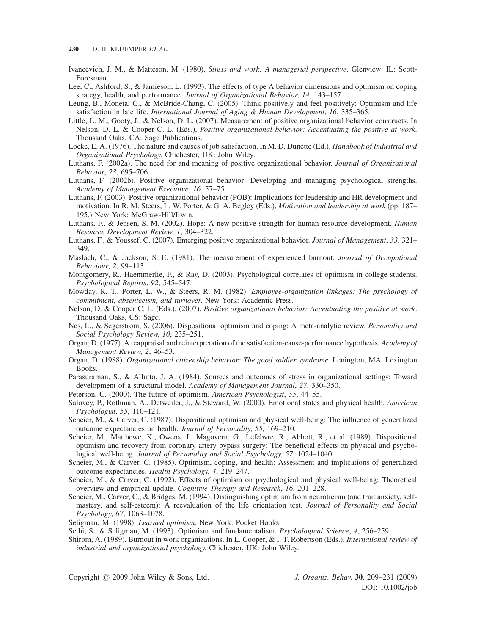- Ivancevich, J. M., & Matteson, M. (1980). Stress and work: A managerial perspective. Glenview: IL: Scott-Foresman.
- Lee, C., Ashford, S., & Jamieson, L. (1993). The effects of type A behavior dimensions and optimism on coping strategy, health, and performance. Journal of Organizational Behavior, 14, 143–157.
- Leung, B., Moneta, G., & McBride-Chang, C. (2005). Think positively and feel positively: Optimism and life satisfaction in late life. International Journal of Aging & Human Development, 16, 335–365.
- Little, L. M., Gooty, J., & Nelson, D. L. (2007). Measurement of positive organizational behavior constructs. In Nelson, D. L. & Cooper C. L. (Eds.), Positive organizational behavior: Accentuating the positive at work. Thousand Oaks, CA: Sage Publications.
- Locke, E. A. (1976). The nature and causes of job satisfaction. In M. D. Dunette (Ed.), *Handbook of Industrial and* Organizational Psychology. Chichester, UK: John Wiley.
- Luthans, F. (2002a). The need for and meaning of positive organizational behavior. Journal of Organizational Behavior, 23, 695–706.
- Luthans, F. (2002b). Positive organizational behavior: Developing and managing psychological strengths. Academy of Management Executive, 16, 57–75.
- Luthans, F. (2003). Positive organizational behavior (POB): Implications for leadership and HR development and motivation. In R. M. Steers, L. W. Porter, & G. A. Begley (Eds.), Motivation and leadership at work (pp. 187– 195.) New York: McGraw-Hill/Irwin.
- Luthans, F., & Jensen, S. M. (2002). Hope: A new positive strength for human resource development. Human Resource Development Review, 1, 304–322.
- Luthans, F., & Youssef, C. (2007). Emerging positive organizational behavior. Journal of Management, 33, 321– 349.
- Maslach, C., & Jackson, S. E. (1981). The measurement of experienced burnout. Journal of Occupational Behaviour, 2, 99–113.
- Montgomery, R., Haemmerlie, F., & Ray, D. (2003). Psychological correlates of optimism in college students. Psychological Reports, 92, 545–547.
- Mowday, R. T., Porter, L. W., & Steers, R. M. (1982). Employee-organization linkages: The psychology of commitment, absenteeism, and turnover. New York: Academic Press.
- Nelson, D. & Cooper C. L. (Eds.). (2007). Positive organizational behavior: Accentuating the positive at work. Thousand Oaks, CS: Sage.
- Nes, L., & Segerstrom, S. (2006). Dispositional optimism and coping: A meta-analytic review. *Personality and* Social Psychology Review, 10, 235–251.
- Organ, D. (1977). A reappraisal and reinterpretation of the satisfaction-cause-performance hypothesis. Academy of Management Review, 2, 46–53.
- Organ, D. (1988). Organizational citizenship behavior: The good soldier syndrome. Lenington, MA: Lexington Books.

Parasuraman, S., & Allutto, J. A. (1984). Sources and outcomes of stress in organizational settings: Toward development of a structural model. Academy of Management Journal, 27, 330–350.

- Peterson, C. (2000). The future of optimism. American Psychologist, 55, 44–55.
- Salovey, P., Rothman, A., Detweiler, J., & Steward, W. (2000). Emotional states and physical health. American Psychologist, 55, 110–121.
- Scheier, M., & Carver, C. (1987). Dispositional optimism and physical well-being: The influence of generalized outcome expectancies on health. Journal of Personality, 55, 169–210.
- Scheier, M., Matthewe, K., Owens, J., Magovern, G., Lefebvre, R., Abbott, R., et al. (1989). Dispositional optimism and recovery from coronary artery bypass surgery: The beneficial effects on physical and psychological well-being. Journal of Personality and Social Psychology, 57, 1024–1040.
- Scheier, M., & Carver, C. (1985). Optimism, coping, and health: Assessment and implications of generalized outcome expectancies. Health Psychology, 4, 219–247.
- Scheier, M., & Carver, C. (1992). Effects of optimism on psychological and physical well-being: Theoretical overview and empirical update. Cognitive Therapy and Research, 16, 201–228.
- Scheier, M., Carver, C., & Bridges, M. (1994). Distinguishing optimism from neuroticism (and trait anxiety, selfmastery, and self-esteem): A reevaluation of the life orientation test. Journal of Personality and Social Psychology, 67, 1063–1078.
- Seligman, M. (1998). Learned optimism. New York: Pocket Books.

Sethi, S., & Seligman, M. (1993). Optimism and fundamentalism. Psychological Science, 4, 256–259.

Shirom, A. (1989). Burnout in work organizations. In L. Cooper, & I. T. Robertson (Eds.), International review of industrial and organizational psychology. Chichester, UK: John Wiley.

Copyright  $\odot$  2009 John Wiley & Sons, Ltd. J. Organiz. Behav. 30, 209–231 (2009)

DOI: 10.1002/job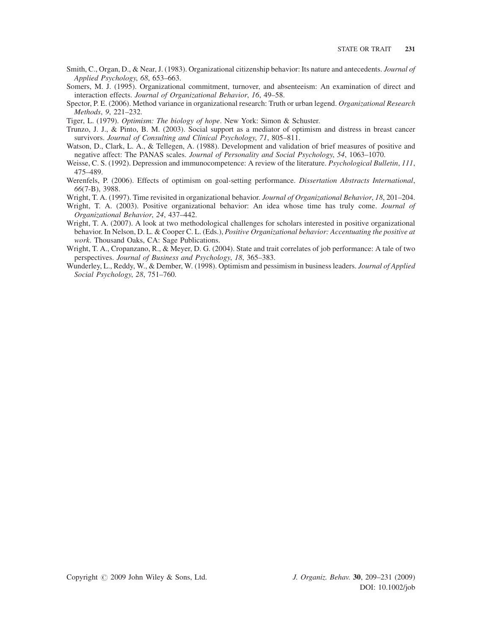- Smith, C., Organ, D., & Near, J. (1983). Organizational citizenship behavior: Its nature and antecedents. *Journal of* Applied Psychology, 68, 653–663.
- Somers, M. J. (1995). Organizational commitment, turnover, and absenteeism: An examination of direct and interaction effects. Journal of Organizational Behavior, 16, 49–58.
- Spector, P. E. (2006). Method variance in organizational research: Truth or urban legend. Organizational Research Methods, 9, 221–232.
- Tiger, L. (1979). Optimism: The biology of hope. New York: Simon & Schuster.
- Trunzo, J. J., & Pinto, B. M. (2003). Social support as a mediator of optimism and distress in breast cancer survivors. Journal of Consulting and Clinical Psychology, 71, 805–811.
- Watson, D., Clark, L. A., & Tellegen, A. (1988). Development and validation of brief measures of positive and negative affect: The PANAS scales. Journal of Personality and Social Psychology, 54, 1063–1070.
- Weisse, C. S. (1992). Depression and immunocompetence: A review of the literature. *Psychological Bulletin*, 111, 475–489.
- Werenfels, P. (2006). Effects of optimism on goal-setting performance. Dissertation Abstracts International, 66(7-B), 3988.
- Wright, T. A. (1997). Time revisited in organizational behavior. Journal of Organizational Behavior, 18, 201–204.
- Wright, T. A. (2003). Positive organizational behavior: An idea whose time has truly come. Journal of Organizational Behavior, 24, 437–442.
- Wright, T. A. (2007). A look at two methodological challenges for scholars interested in positive organizational behavior. In Nelson, D. L. & Cooper C. L. (Eds.), Positive Organizational behavior: Accentuating the positive at work. Thousand Oaks, CA: Sage Publications.
- Wright, T. A., Cropanzano, R., & Meyer, D. G. (2004). State and trait correlates of job performance: A tale of two perspectives. Journal of Business and Psychology, 18, 365–383.
- Wunderley, L., Reddy, W., & Dember, W. (1998). Optimism and pessimism in business leaders. Journal of Applied Social Psychology, 28, 751–760.